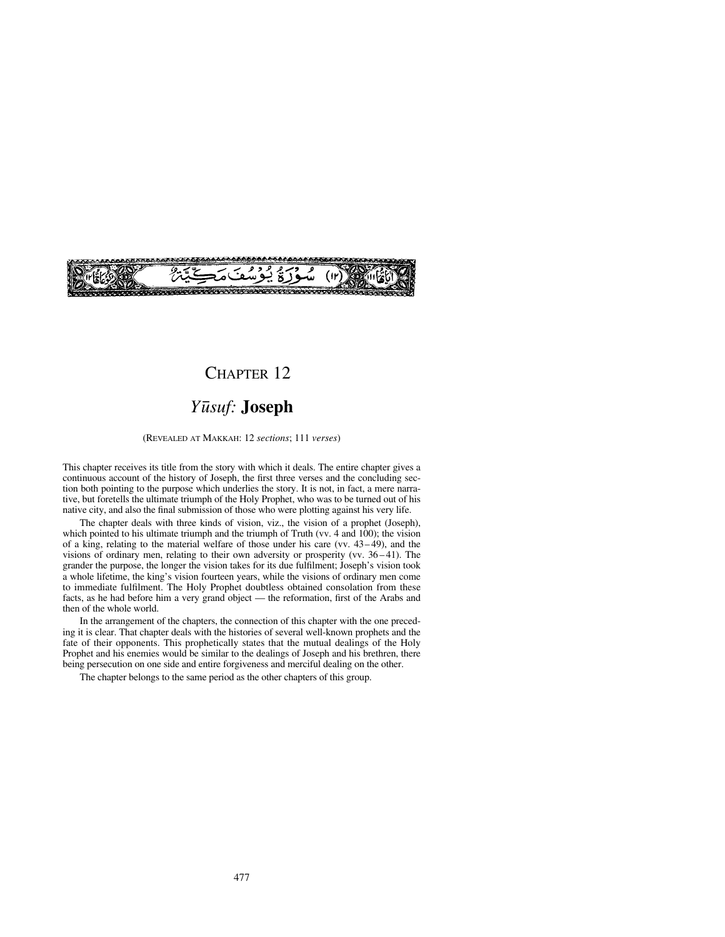

## CHAPTER 12

# *Y∂suf:* **Joseph**

(REVEALED AT MAKKAH: 12 *sections*; 111 *verses*)

This chapter receives its title from the story with which it deals. The entire chapter gives a continuous account of the history of Joseph, the first three verses and the concluding section both pointing to the purpose which underlies the story. It is not, in fact, a mere narrative, but foretells the ultimate triumph of the Holy Prophet, who was to be turned out of his native city, and also the final submission of those who were plotting against his very life.

The chapter deals with three kinds of vision, viz., the vision of a prophet (Joseph), which pointed to his ultimate triumph and the triumph of Truth (vv. 4 and 100); the vision of a king, relating to the material welfare of those under his care (vv.  $43-49$ ), and the visions of ordinary men, relating to their own adversity or prosperity (vv.  $36-41$ ). The grander the purpose, the longer the vision takes for its due fulfilment; Joseph's vision took a whole lifetime, the king's vision fourteen years, while the visions of ordinary men come to immediate fulfilment. The Holy Prophet doubtless obtained consolation from these facts, as he had before him a very grand object — the reformation, first of the Arabs and then of the whole world.

In the arrangement of the chapters, the connection of this chapter with the one preceding it is clear. That chapter deals with the histories of several well-known prophets and the fate of their opponents. This prophetically states that the mutual dealings of the Holy Prophet and his enemies would be similar to the dealings of Joseph and his brethren, there being persecution on one side and entire forgiveness and merciful dealing on the other.

The chapter belongs to the same period as the other chapters of this group.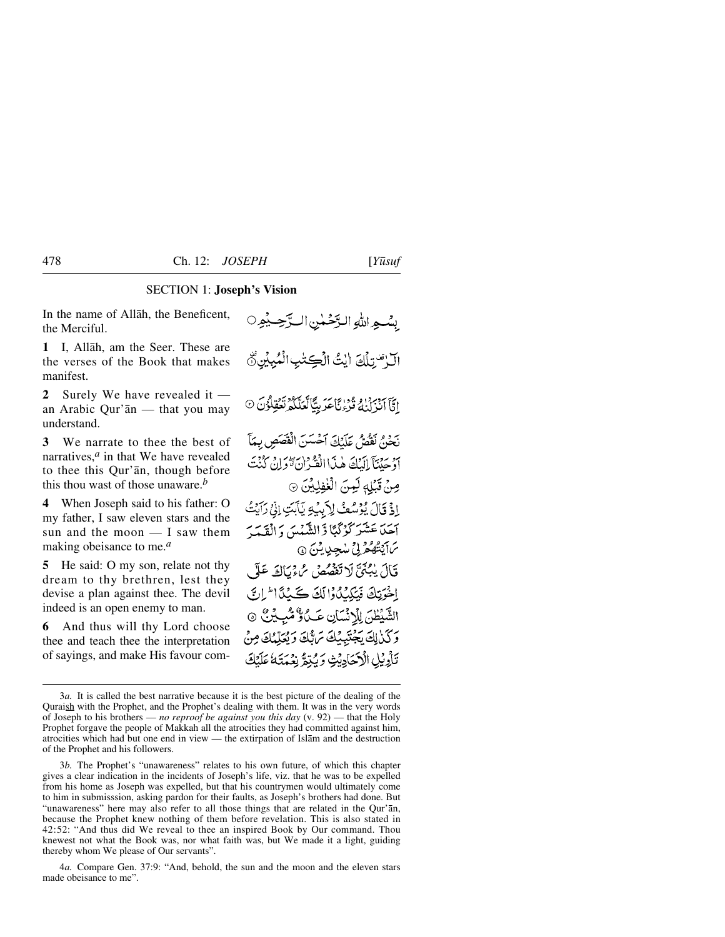## SECTION 1: **Joseph's Vision**

In the name of Allåh, the Beneficent, the Merciful.

**1** I, Allåh, am the Seer. These are the verses of the Book that makes manifest.

**2** Surely We have revealed it an Arabic Qur'ån — that you may understand.

**3** We narrate to thee the best of narratives,*<sup>a</sup>* in that We have revealed to thee this Qur'ån, though before this thou wast of those unaware.*<sup>b</sup>*

**4** When Joseph said to his father: O my father, I saw eleven stars and the sun and the moon — I saw them making obeisance to me.*<sup>a</sup>*

**5** He said: O my son, relate not thy dream to thy brethren, lest they devise a plan against thee. The devil indeed is an open enemy to man.

**6** And thus will thy Lord choose thee and teach thee the interpretation of sayings, and make His favour com-

بِسْبِهِ اللَّهِ الرَّحْمٰنِ الرَّحِبِيْهِ O الَّ قَسْلَكَ الْتُ الْكِتْبِ الْمُبِينِيِّ اِيَّآآدْ بِيَدْ إِوْ وَإِنَّا عَدَ بِيًّا تَعَلَّكُمْ نَعُقِلُوْنَ ۞ يَجْنُ نَقْصٌ عَلَيْكَ آَخْسَنَ الْقَصَصِ بِهَآَ أَدْ حَيْنَآ إِلَيْكَ هٰذَاالْفُّرْانَ تَّوَلِنُّ كُنْتَ صِنْ قَبْلِهِ لَيِنَ الْغْفِلِيِّنَ ۞ ادْ قَالَ بْرُسُعْ لِأَبِيْهِ يَأْبَتِ إِنِّي رَآيَتُ آجَدَ عَشَرَ كَوْكَمَا وَّ الشَّهْيِهَ، وَ الْقَدَّبِ ىك يىشىم بى شجىي يىس ق قَالَ يُبْنَىَّ لَا تَقْصُصُ مُّءْيَاكَ عَلَى الْحَوَيْكَ فَيَكِيْدُوْالَكَ كَيْدَدَّا الراسَّ الشَّيْطْنَ لِلْانْسَانِ عَبِّلٌ وَّشْبِيْنٌ ۞ وكذلك يجتبيك تراثك ويُعَلِّمُكَ مِنْ تَأْوِيْلِ الْأَحَادِيْثِ وَيُبْقِرُ نِعْمَتَهُ عَلَيْكَ

3*b.* The Prophet's "unawareness" relates to his own future, of which this chapter gives a clear indication in the incidents of Joseph's life, viz. that he was to be expelled from his home as Joseph was expelled, but that his countrymen would ultimately come to him in submisssion, asking pardon for their faults, as Joseph's brothers had done. But "unawareness" here may also refer to all those things that are related in the Qur'ån, because the Prophet knew nothing of them before revelation. This is also stated in 42:52: "And thus did We reveal to thee an inspired Book by Our command. Thou knewest not what the Book was, nor what faith was, but We made it a light, guiding thereby whom We please of Our servants".

4*a.* Compare Gen. 37:9: "And, behold, the sun and the moon and the eleven stars made obeisance to me".

<sup>3</sup>*a.* It is called the best narrative because it is the best picture of the dealing of the Quraish with the Prophet, and the Prophet's dealing with them. It was in the very words of Joseph to his brothers — *no reproof be against you this day* (v. 92) — that the Holy Prophet forgave the people of Makkah all the atrocities they had committed against him, atrocities which had but one end in view — the extirpation of Islåm and the destruction of the Prophet and his followers.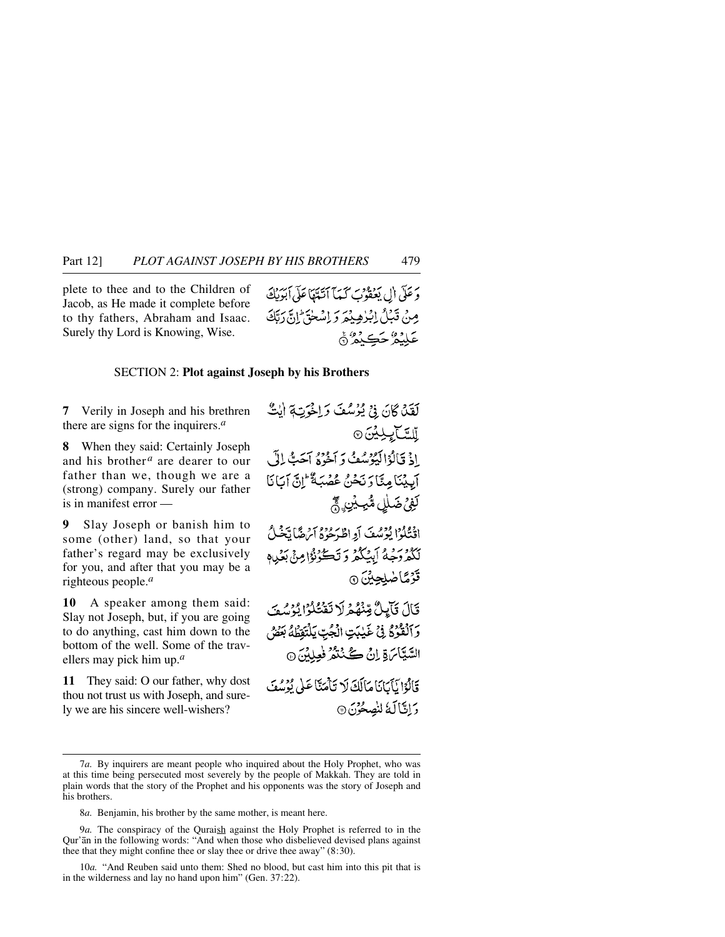plete to thee and to the Children of Jacob, as He made it complete before to thy fathers, Abraham and Isaac. Surely thy Lord is Knowing, Wise.

وَ عَلَى أَل يَعْقُوبَ كَيْمَا آنَيْتَهَا عَلَى آبَوَيْكَ مِنْ قَبْلُ إِبْرٰهِ بِيْمَرَ دَ إِسْلَحَ ۖ إِنَّ دَتَكَ عَلَيْمُ حَڪِنْمُ ۞

#### SECTION 2: **Plot against Joseph by his Brothers**

**7** Verily in Joseph and his brethren there are signs for the inquirers.*<sup>a</sup>*

**8** When they said: Certainly Joseph and his brother *<sup>a</sup>* are dearer to our father than we, though we are a (strong) company. Surely our father is in manifest error —

**9** Slay Joseph or banish him to some (other) land, so that your father's regard may be exclusively for you, and after that you may be a righteous people.*<sup>a</sup>*

**10** A speaker among them said: Slay not Joseph, but, if you are going to do anything, cast him down to the bottom of the well. Some of the travellers may pick him up.*<sup>a</sup>*

**11** They said: O our father, why dost thou not trust us with Joseph, and surely we are his sincere well-wishers?

لَقَلْ كَانَ فِيْ يُؤْسُفَ وَاخْرَتِهِ إِيْتٌ **آلسَّنَا بِكِيْنَ**۞ اذْ قَالُوْالْيُوْسُفْ دَ أُخُرُهُ أَحَبُّ إِلَيْ آبِيْنَامِنَّا رَبَّحْنُ عُضْبَةٌ إِنَّ آيَانَا لَغِيْ ضَلَلٍ مُثْبِيِّنٍ حَجْ اقْتَلُوْا يُؤْسُفَ أَوِ اطْهَءُ فِي أَيْرَهُمْا تَخْبُلُ بَكْثَرُوجِيدُ أَبِيَكُمْ وَتَكَوُّنُوْا مِنْ بَعْيِيدِ قَرْمًاضْلِحِينَ ۞ قَالَ قَآيِلٌ مِّنْهُمْ لَا تَقْتُلُوْا يُؤْسُفَ وَٱلۡقُوۡۚ ۚ فِيۡ غَيۡبَتِ الۡجُبِّ يَلۡتَقِطُهُ بَعۡضُ السَّيَّامَ قِ إِنْ كُنْتُمُّ فُعِلِيْنَ @ قَالَةَ إِيَّانَانَا مَالَكَ لَا تَأْمَنَّا عَلَى نُوْسُفَ وَإِنَّالَهُ لِنُصِعُوْنَ ۞

<sup>7</sup>*a.* By inquirers are meant people who inquired about the Holy Prophet, who was at this time being persecuted most severely by the people of Makkah. They are told in plain words that the story of the Prophet and his opponents was the story of Joseph and his brothers.

<sup>8</sup>*a.* Benjamin, his brother by the same mother, is meant here.

<sup>9</sup>*a.* The conspiracy of the Quraish against the Holy Prophet is referred to in the Qur'ån in the following words: "And when those who disbelieved devised plans against thee that they might confine thee or slay thee or drive thee away" (8:30).

<sup>10</sup>*a.* "And Reuben said unto them: Shed no blood, but cast him into this pit that is in the wilderness and lay no hand upon him" (Gen. 37:22).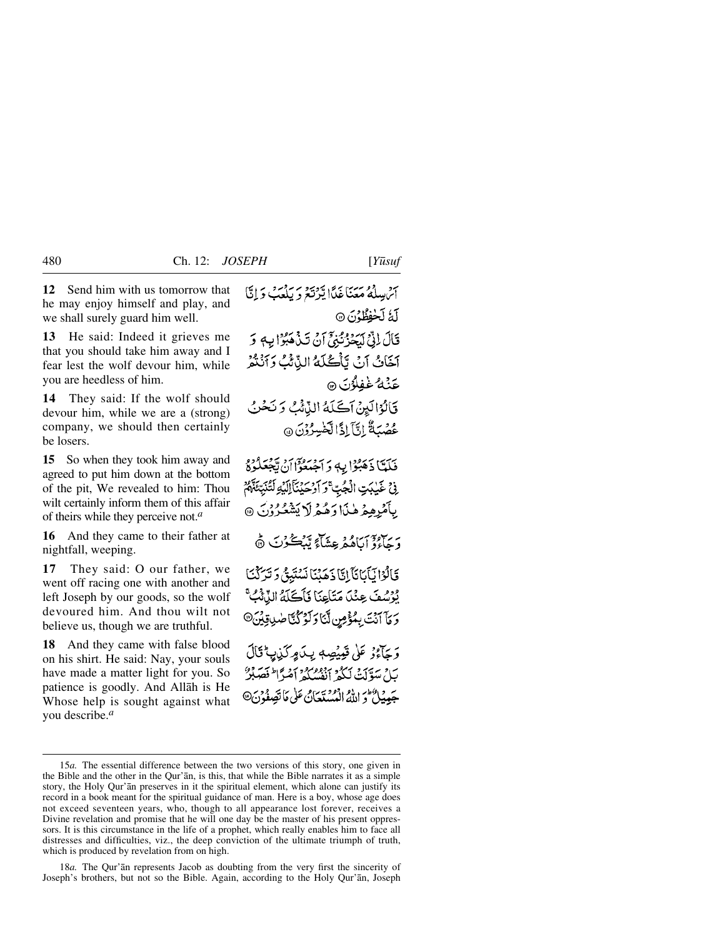**13** He said: Indeed it grieves me that you should take him away and I fear lest the wolf devour him, while you are heedless of him.

**14** They said: If the wolf should devour him, while we are a (strong) company, we should then certainly be losers.

**15** So when they took him away and agreed to put him down at the bottom of the pit, We revealed to him: Thou wilt certainly inform them of this affair of theirs while they perceive not.*<sup>a</sup>*

**16** And they came to their father at nightfall, weeping.

**17** They said: O our father, we went off racing one with another and left Joseph by our goods, so the wolf devoured him. And thou wilt not believe us, though we are truthful.

**18** And they came with false blood on his shirt. He said: Nay, your souls have made a matter light for you. So patience is goodly. And Allåh is He Whose help is sought against what you describe.*<sup>a</sup>*

آثر ببيلةُ مَعَنَا غَدًا يَرْتَعَ دَ بِلْعَبَ دَانَيْ لَّهُ لَحْفِظُوُنَ ۞ قَالَ إِنِّيٍّ لَدَيْرُومِ بِهِمْ أَنْ تَذْهَبُوْا بِهِ وَ آخَانُ آنَ تَأْكُلُهُ الذَّثْثُ وَآنُنْهُمْ عَنۡهُ غَفِلُوۡنَ ۞ قَالُوُالَيِنْ آكَلَهُ النَّائُبُ وَنَحْنُ عُصُبَةٌ إِنَّآ إِذَالَهَنْبِيرُوْنَ ۞

فَلَمَّا ذَهَبُوْا بِهِ وَآَجُبَعُوْاْ أَنْ يَجْعَلُوْمٌ ِ فِي غَيْلِيَتِ الْجُبِّ ۚ وَ أَوْحَيْنَآ إِلَيْهِ لَتُنَبِّئَةً ۚ أَمْ بِأَمْرِهِمْ هٰذَا وَهُمْ لَا يَشْعُرُوْنَ ۞

دَيَبِيْرَةَ آيَاهُمْ عِشَاءَ يَبْڪُرُٽَ ۞

قَالُوْانَآَنَانَآَ اِتَّا ذَهَبْنَا نَسْتَبِقُ وَتَرَكْنَا يُوْسُفَ عِنْدَ مَتَاعِنَا فَأَكَلَّهُ النَّائُبُ<sup>ِّي</sup>َ وَمَا آنَتَ بِمُؤْمِنٍ لَّنَا وَلَوْكُنَّا صَٰنِ قِيْنَ<sup>@</sup>

وَجَآءُوۡ عَلَىٰ قَبِيضِهِ بِيدَ مِرَكَبٰابِ ۚ قَالَ بَيْلَ سَوَّلَتْ لَكُمْ أَنْفُسِكُمْ أَصْرًا لِمَصَلِّرٌ جَعِينُكَ وَ اللَّهُ الْمُسْتَعَانُ عَلَى مَا تَصِفُوْنَ@

18*a.* The Qur'ån represents Jacob as doubting from the very first the sincerity of Joseph's brothers, but not so the Bible. Again, according to the Holy Qur'ån, Joseph

<sup>15</sup>*a.* The essential difference between the two versions of this story, one given in the Bible and the other in the Qur'ån, is this, that while the Bible narrates it as a simple story, the Holy Qur'ån preserves in it the spiritual element, which alone can justify its record in a book meant for the spiritual guidance of man. Here is a boy, whose age does not exceed seventeen years, who, though to all appearance lost forever, receives a Divine revelation and promise that he will one day be the master of his present oppressors. It is this circumstance in the life of a prophet, which really enables him to face all distresses and difficulties, viz., the deep conviction of the ultimate triumph of truth, which is produced by revelation from on high.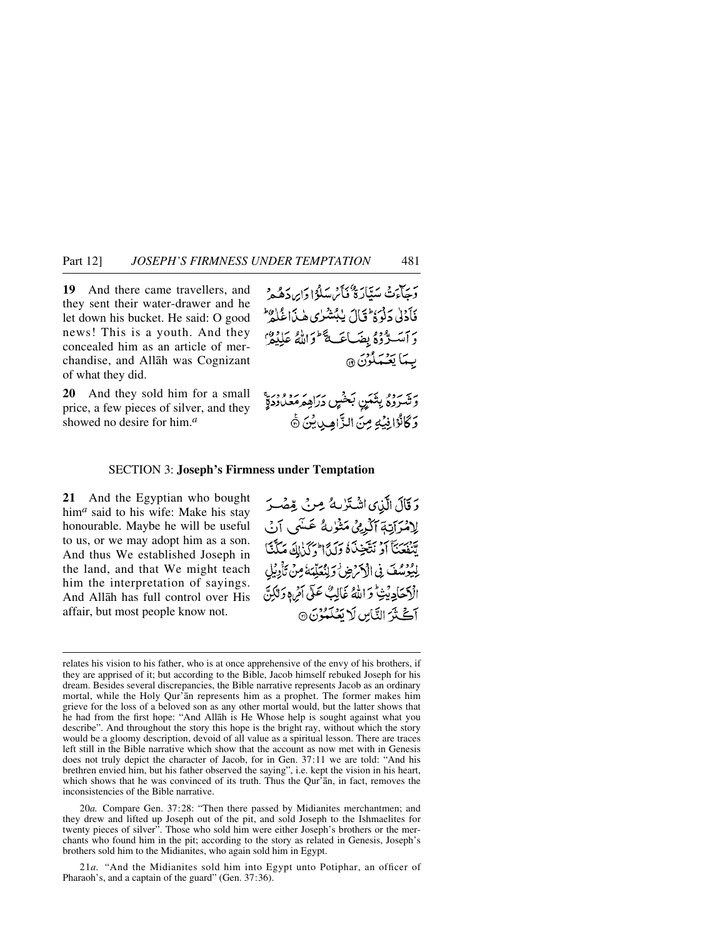**19** And there came travellers, and they sent their water-drawer and he let down his bucket. He said: O good news! This is a youth. And they concealed him as an article of merchandise, and Allåh was Cognizant of what they did.

**20** And they sold him for a small price, a few pieces of silver, and they showed no desire for him.*<sup>a</sup>*

وَجِبَاءَتْ مَيَتَارَةٌ فَأَيْرَ يَبِيلُوْا دَايِرِدَهُهُ وَ فَأَدْلَىٰ دَلْوَةُ ثَالَ يٰبُتَثْبُرٰي هٰذَاغُلُهُ ۖ برسمته ودويضاعك أوالله عليفر بِيمَا يَعْيَمْلُوْنَ ۞

رير روم بِتَمَنٍ بَحْسٍ دَرَاهِ مَعْدُودَةٍ وَكَانُوْانِيْكِ مِنَ الزَّاهِينِيْنَ ﴾

#### SECTION 3: **Joseph's Firmness under Temptation**

**21** And the Egyptian who bought him*<sup>a</sup>* said to his wife: Make his stay honourable. Maybe he will be useful to us, or we may adopt him as a son. And thus We established Joseph in the land, and that We might teach him the interpretation of sayings. And Allåh has full control over His affair, but most people know not.

وَقَالَ الَّذِى اشْتَرْبِهُ مِنْ قِصْرَ لِامْرَاتِهَ ٱلْرَيْنَ مَثْوٰلَهُ عَسَى ٱنْ ي ببرج دبستي بي بي الحركي التي يمكن لِيُوْسُفَ فِي الْكَرْضِ وَلِنُعَلِّمَهُ مِنْ تَأْوِيْل الْكِيْجَادِيْتْ وَاللَّهُ غَالِبٌ عَلَى أَمْرِهِ وَلَٰكِنَّ آڭنَّ النَّاسِ لَا تَعُلَّمُوْنَ @

20*a.* Compare Gen. 37:28: "Then there passed by Midianites merchantmen; and they drew and lifted up Joseph out of the pit, and sold Joseph to the Ishmaelites for twenty pieces of silver". Those who sold him were either Joseph's brothers or the merchants who found him in the pit; according to the story as related in Genesis, Joseph's brothers sold him to the Midianites, who again sold him in Egypt.

21*a.* "And the Midianites sold him into Egypt unto Potiphar, an officer of Pharaoh's, and a captain of the guard" (Gen. 37:36).

relates his vision to his father, who is at once apprehensive of the envy of his brothers, if they are apprised of it; but according to the Bible, Jacob himself rebuked Joseph for his dream. Besides several discrepancies, the Bible narrative represents Jacob as an ordinary mortal, while the Holy Qur'ån represents him as a prophet. The former makes him grieve for the loss of a beloved son as any other mortal would, but the latter shows that he had from the first hope: "And Allåh is He Whose help is sought against what you describe". And throughout the story this hope is the bright ray, without which the story would be a gloomy description, devoid of all value as a spiritual lesson. There are traces left still in the Bible narrative which show that the account as now met with in Genesis does not truly depict the character of Jacob, for in Gen. 37:11 we are told: "And his brethren envied him, but his father observed the saying", i.e. kept the vision in his heart, which shows that he was convinced of its truth. Thus the Qur'an, in fact, removes the inconsistencies of the Bible narrative.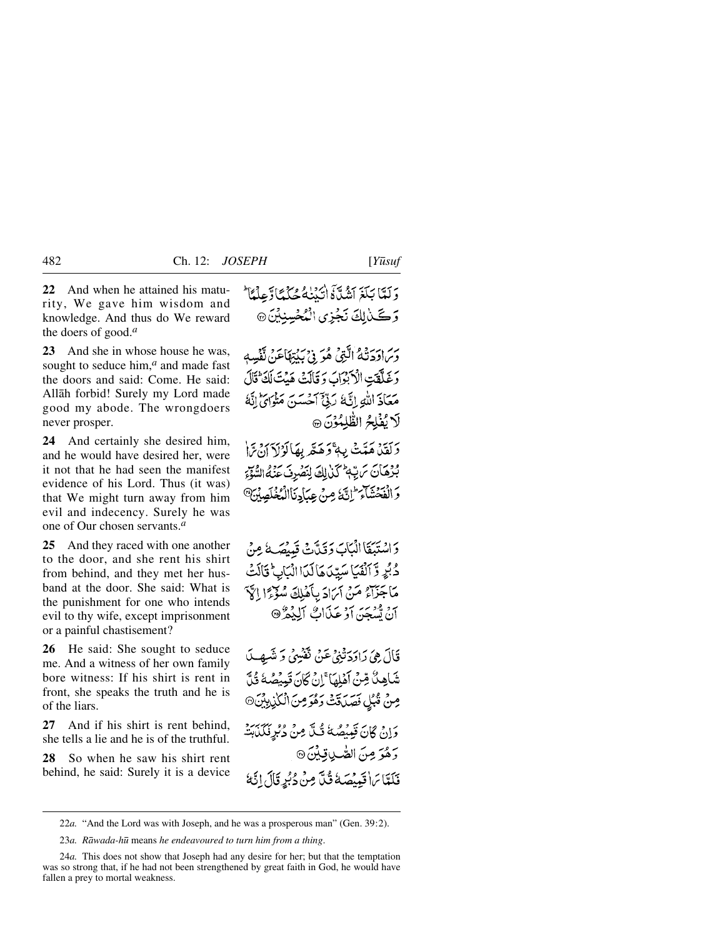**22** And when he attained his maturity, We gave him wisdom and knowledge. And thus do We reward the doers of good.*<sup>a</sup>*

**23** And she in whose house he was, sought to seduce him,<sup>*a*</sup> and made fast the doors and said: Come. He said: Allåh forbid! Surely my Lord made good my abode. The wrongdoers never prosper.

**24** And certainly she desired him, and he would have desired her, were it not that he had seen the manifest evidence of his Lord. Thus (it was) that We might turn away from him evil and indecency. Surely he was one of Our chosen servants.*<sup>a</sup>*

**25** And they raced with one another to the door, and she rent his shirt from behind, and they met her husband at the door. She said: What is the punishment for one who intends evil to thy wife, except imprisonment or a painful chastisement?

**26** He said: She sought to seduce me. And a witness of her own family bore witness: If his shirt is rent in front, she speaks the truth and he is of the liars.

**27** And if his shirt is rent behind, she tells a lie and he is of the truthful.

**28** So when he saw his shirt rent behind, he said: Surely it is a device

وس(دَدَنْهُ الَّذِي هُوَ فِي بِكِتِهَاعَنْ تَفْسِهِ رَبِيَّتِ الْأَبْرَابُ وَقَالَتْ هَيْتَ لَكَ ثَالَ مَعَاذَ اللَّهِ إِنَّهَ رَبِّيٌّ أَحْسَنَ مَثْوَايَ إِنَّهُ لَا يُغْلِحُ الظَّلِمُوْنَ @

رَيْهِ مَتَتْ بِهِءْ دَهَنَّهِ بِهَالَوْلَاَ آنَ مَّا بُّرْهَانَ تَرَبَّهُ كَنْ لِكَ لِنَصُرِفَ عَنْهُ السُّوَّةِ وَالْفَحْشَاءَ إِنَّ مِنْ عِبَادِنَاالْمُغْلَصِيْنَ®

دَ اسْتَبَقَا الْبَابَ دَقَيْدَتْ قَدِيْهَكُ مِنْ دُبُرٍ وَّ ٱلۡفَيَاسَيِّدَىٰٓالَدَااالَّبَابِىَّ قَالَتۡ مَاجَزَاءُ مَنْ آمَادَ بِأَهْلِكَ سُوَّءًا إِلَيْ انْ تَسْبَحْنَ أَوْ عَيْدَاتٌ ٱلْبُغْرٌ ۞

قَالَ هِيَ رَادَدَتْنِيُّ عَنْ نَفْسِيُّ دَ شَيهِبِ لَهِ شَاهِكٌ قِنْ آَهْلِهَا ۚ إِنْ كَانَ تَبِيْصُهُ قُلَّ مِنْ قُبُلِ فَصَدَقَتْ دَهُوَ مِنَ الْكَٰذِيِبِيِّنَ۞ وَإِنْ كَانَ قَبِيضًهُ قُلَّ مِنْ دُبُرِ فَكَلَّبِتْهِ وَهُوَ مِنَ الصَّٰبِ قِيْنَ ۞ فَلَعَّا بَرَا قَيْنُصَكُ قُلَّ مِنْ دُبُرِ قَالَ إِنَّهُ

<sup>22</sup>*a.* "And the Lord was with Joseph, and he was a prosperous man" (Gen. 39:2).

<sup>23</sup>*a. Råwada-h∂* means *he endeavoured to turn him from a thing*.

<sup>24</sup>*a.* This does not show that Joseph had any desire for her; but that the temptation was so strong that, if he had not been strengthened by great faith in God, he would have fallen a prey to mortal weakness.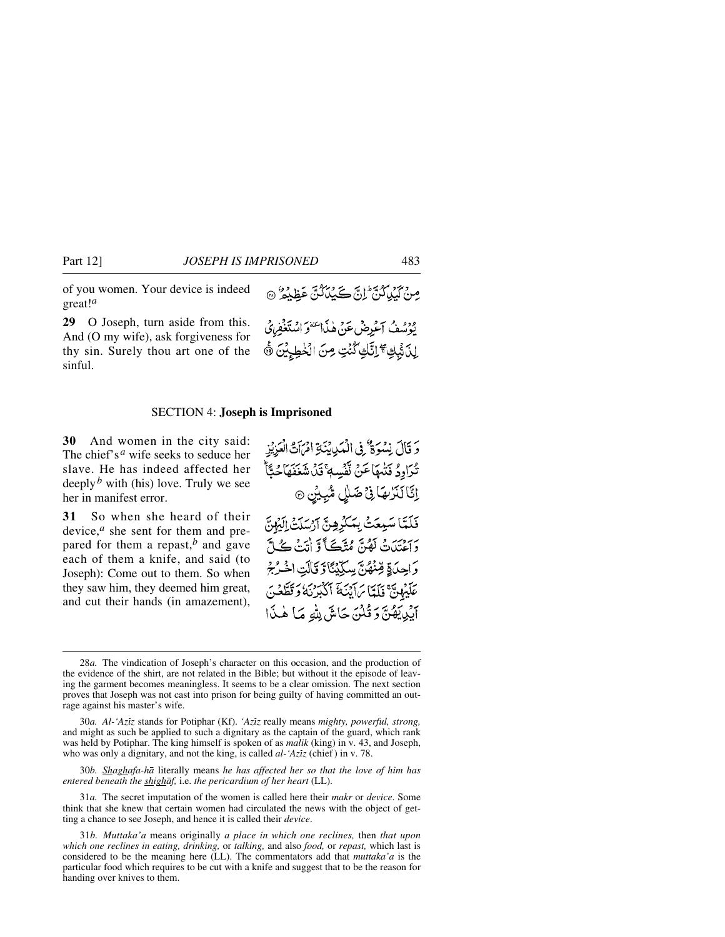of you women. Your device is indeed great!*<sup>a</sup>*

**29** O Joseph, turn aside from this. And (O my wife), ask forgiveness for thy sin. Surely thou art one of the sinful.

#### SECTION 4: **Joseph is Imprisoned**

**30** And women in the city said: The chief's*<sup>a</sup>* wife seeks to seduce her slave. He has indeed affected her deeply*<sup>b</sup>* with (his) love. Truly we see her in manifest error.

**31** So when she heard of their device,*<sup>a</sup>* she sent for them and prepared for them a repast, $\overline{b}$  and gave each of them a knife, and said (to Joseph): Come out to them. So when they saw him, they deemed him great, and cut their hands (in amazement),

وَ قَالَ نِسْوَةٌ فِي الْمَدِينَةِ امْرَاَتُ الْعَزِيْزِ تْدَاوِدُ فَتْيَهَاعَنْ نَفْسِهِ ۚ قَدْنَ شَغَفَهَا حُتَّأَ إِنَّا لَنَزْبِهَا فِيْ ضَلْلٍ مُّبِيْنٍ ۞ فَلَمَّا سَيِعَتْ بِمَكْرِهِنَّ آرْسَلَتْ اِلَيْهِنَّ بِرَ مِنْ نَصْنَ مُتَكَبَّاً وَ أَتَتْ كُنَّ وَاحِدَاةٍ قِنْهُنَّ سِكِّيْنَا وَقَالَتِ اخْرُجْ عَلَيْهِيٌّ فَلَمَّاسَ آيْنَةَ آكْبُرْنَهُ وَقَطَّعُنَ آيْدِيَهُنَّ وَقُلْنَ حَاشَ لِلَّهِ مَا هٰذَا

30*b. Shaghafa-hå* literally means *he has affected her so that the love of him has entered beneath the shighåf,* i.e. *the pericardium of her heart* (LL).

31*a.* The secret imputation of the women is called here their *makr* or *device*. Some think that she knew that certain women had circulated the news with the object of getting a chance to see Joseph, and hence it is called their *device*.

31*b. Muttaka'a* means originally *a place in which one reclines,* then *that upon which one reclines in eating, drinking,* or *talking,* and also *food,* or *repast,* which last is considered to be the meaning here (LL). The commentators add that *muttaka'a* is the particular food which requires to be cut with a knife and suggest that to be the reason for handing over knives to them.

صِنْ كَيْلِكُنَّ إِنَّ كَيْلَكُنَّ عَظِيْمٌ ﴾ يوسُفُ آغَرِضْعَنْ هٰذَا يَسْوَ اسْتَغْفِرْنَيْ لِدَٰ ثَٰٓبِكِ ۗ إِنَّكِ كُنۡتٍ مِنَ الۡخَطِيۡيَٰنَ ۞

<sup>28</sup>*a.* The vindication of Joseph's character on this occasion, and the production of the evidence of the shirt, are not related in the Bible; but without it the episode of leaving the garment becomes meaningless. It seems to be a clear omission. The next section proves that Joseph was not cast into prison for being guilty of having committed an outrage against his master's wife.

<sup>30</sup>*a. Al-'Azßz* stands for Potiphar (Kf). *'Azßz* really means *mighty, powerful, strong,* and might as such be applied to such a dignitary as the captain of the guard, which rank was held by Potiphar. The king himself is spoken of as *malik* (king) in v. 43, and Joseph, who was only a dignitary, and not the king, is called *al*-'Aziz (chief) in v. 78.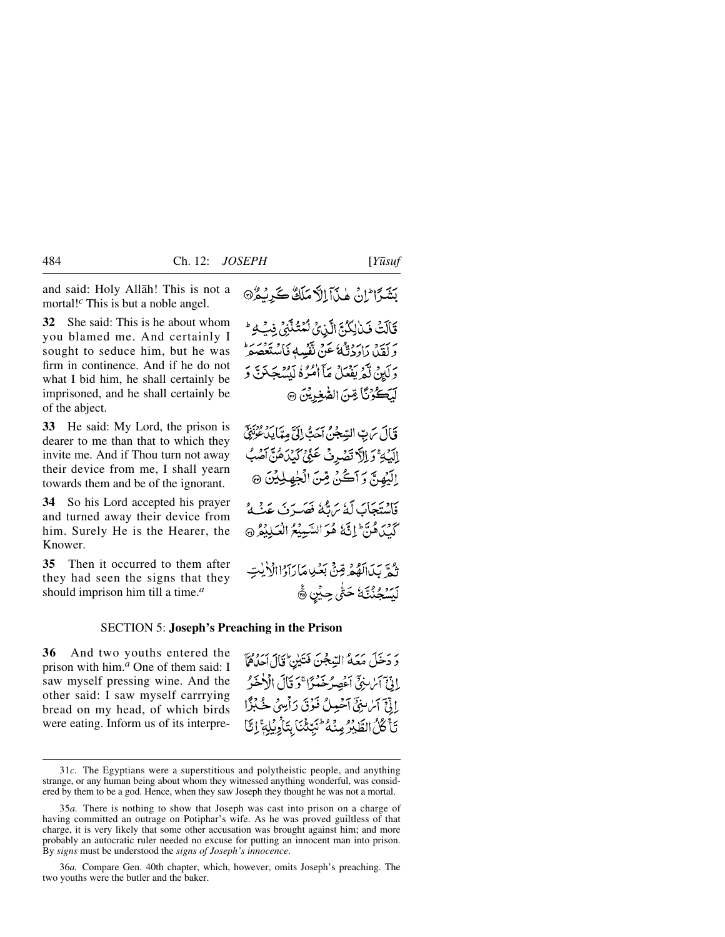and said: Holy Allåh! This is not a mortal!*<sup>c</sup>* This is but a noble angel.

**32** She said: This is he about whom you blamed me. And certainly I sought to seduce him, but he was firm in continence. And if he do not what I bid him, he shall certainly be imprisoned, and he shall certainly be of the abject.

**33** He said: My Lord, the prison is dearer to me than that to which they invite me. And if Thou turn not away their device from me, I shall yearn towards them and be of the ignorant.

**34** So his Lord accepted his prayer and turned away their device from him. Surely He is the Hearer, the Knower.

**35** Then it occurred to them after they had seen the signs that they should imprison him till a time.*<sup>a</sup>*

#### SECTION 5: **Joseph's Preaching in the Prison**

**36** And two youths entered the prison with him.*<sup>a</sup>* One of them said: I saw myself pressing wine. And the other said: I saw myself carrrying bread on my head, of which birds were eating. Inform us of its interpre-

قَالَتْ فَبْالِكُنَّ الَّذِيُّ لَّمُتُنَّنِّيُ فِي لِهِ مَنْ بَرَ وَ رَبِّهِ وَإِلَيْهِ عَنْ تَفْسِهِ فَاسْتَعْصَمْ ۖ دَلَيْنُ لَّمْ يَفْعَلْ مَآ اٰمُّرُهُ لَيْسُجَنَنَّ دَ لِّيَكُوْنَا قِنَ الصَّغِرِيْنَ ۞

قَالَ سَ بِّ السِّجْنُ آَحَبُّ إِلَيَّ مِمَّا يَدُّعُونَنِيِّ الِّيْهِ ۚ وَ اِلَّ تَصْرِفْ عَنِّيْ كَيْدَهُنَّ آَصُبُ اِلَيۡهُنَّ وَآَكَنْ مِّنَ الۡجٰهِلِيۡنَ ۞ فَاسْتَجَابَ لَهُ يَرَبُّهُ فَصَيرَتَ عَنْبُهُ كَيْݣُاهُنَّ إِنَّ هُوَ السَّبِيعُ الْعَبِيلِهِ مِنْ الْمَلِيْعُ ۞ تُجَّ بَدَالَهُمْ قِنْ بَعْيِدِ مَارَاَدُاالْأَيْتِ لَيَسۡجُنُنَّـَا ۚ حَتَّىٰ حِيۡنِ ۞

دَ دَخَلَ مَعَهُ السِّجْنَ فَتَيْنِ ۚ قَالَ اٰحِنَّاهُمَآ بِادِّيِّ آيْنِ بِنِيِّ أَعْصِرُ خَذْرًا ۚ دَ قَالَ الْأَخَيْرُ إِذْنَبَ آَسُ بِنِيِّ آَحْمِيلُ فَنُوْقَ رَأْسِيٌ جُبُدًا تَأْكُلُ الطَّيْرُ مِنْهُ كُبِّكْنَا بِتَأْرِبِكِمَّ إِنَّا

بَشَدًا إِنْ هٰذَآ إِلاَّ مَلَكٌ كَدِيْدُ۞

<sup>31</sup>*c.* The Egyptians were a superstitious and polytheistic people, and anything strange, or any human being about whom they witnessed anything wonderful, was considered by them to be a god. Hence, when they saw Joseph they thought he was not a mortal.

<sup>35</sup>*a.* There is nothing to show that Joseph was cast into prison on a charge of having committed an outrage on Potiphar's wife. As he was proved guiltless of that charge, it is very likely that some other accusation was brought against him; and more probably an autocratic ruler needed no excuse for putting an innocent man into prison. By *signs* must be understood the *signs of Joseph's innocence*.

<sup>36</sup>*a.* Compare Gen. 40th chapter, which, however, omits Joseph's preaching. The two youths were the butler and the baker.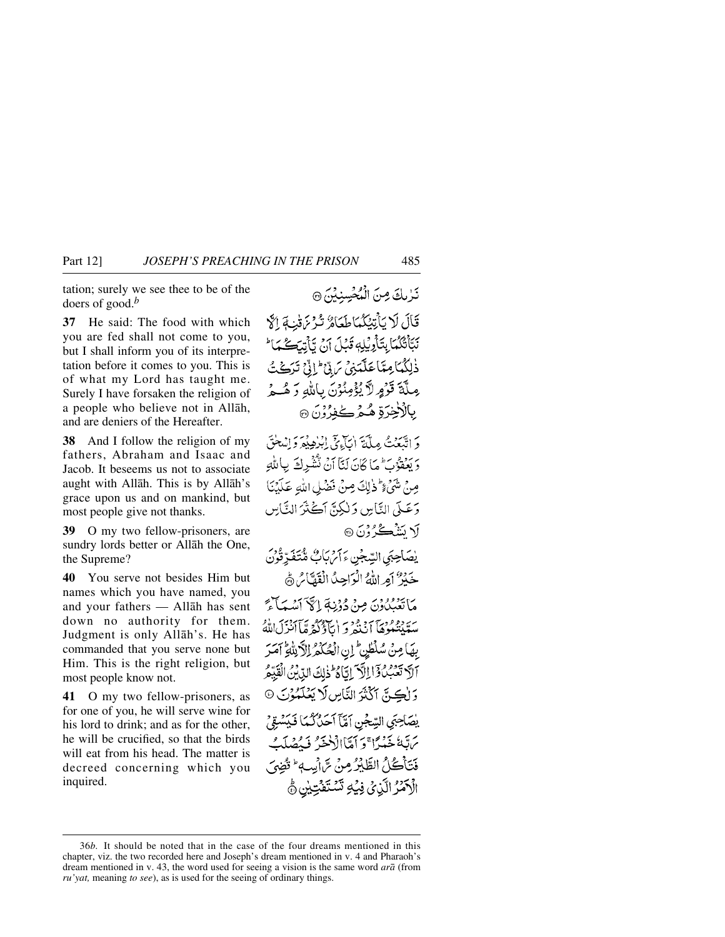tation; surely we see thee to be of the doers of good.*<sup>b</sup>*

**37** He said: The food with which you are fed shall not come to you, but I shall inform you of its interpretation before it comes to you. This is of what my Lord has taught me. Surely I have forsaken the religion of a people who believe not in Allåh, and are deniers of the Hereafter.

**38** And I follow the religion of my fathers, Abraham and Isaac and Jacob. It beseems us not to associate aught with Allåh. This is by Allåh's grace upon us and on mankind, but most people give not thanks.

**39** O my two fellow-prisoners, are sundry lords better or Allåh the One, the Supreme?

**40** You serve not besides Him but names which you have named, you and your fathers — Allåh has sent down no authority for them. Judgment is only Allåh's. He has commanded that you serve none but Him. This is the right religion, but most people know not.

**41** O my two fellow-prisoners, as for one of you, he will serve wine for his lord to drink; and as for the other, he will be crucified, so that the birds will eat from his head. The matter is decreed concerning which you inquired.

تَرْبِكَ مِنَ الْمُحْسِنِيْنَ ۞

قَالَ لَا يَأْتِيَكُمَا طَعَامٌ تُدْمَ قَبْ قَالَةَ نَبَأْتُكُمْاً بِتَأْوِيْلِهِ قَبْلَ آنُ تَأْتِيَكُمْاً ذْلِكُمَائِعِتَاعَلَّمَنِيَّ مَرِيَّ ۚ إِنِّيَّ تَرَكُتُّ مِلَّةَ قَرْمٍ لاَّ يُؤْمِنُوْنَ بِاللَّهِ وَ هُــوُّ بالأخرّة هُيمْ كُفرُوْنَ ۞

دَ اتَّبَعَٰتُ مِلَّةَ اٰبَاءَيَّ إِبْرٰهِ فِيرَدِّ إِنْسَعْتَي وَيَعْفَوْنَ مَا كَانَ لَنَّآ أَنْ تَشْرِكَ بِاللَّهِ صِنْ شَيْءٍ ثَنْ إِلَى صِنْ فَضْلِ اللَّهِ عَلَيْنَا وَعَـلَّى النَّاسِ وَلٰكِنَّ أَكُثْرَ النَّاسِ √ سَنْڪُرُوْنَ ۞

يصَاحِبَي السِّجْنِ ءَأَمَّ بَأَبُّ مُّتَفَرِّقُونَ خَيْرٌ أَمِراللَّهُ الْزَاحِدُ الْقَصَّامُ ﴾ مَا تَعْبُدُوْنَ مِنْ دُوْنِيَةَ إِيَّ آمَيْهِ بَاتِيَ سَيَنْتُغُوْهَا أَنْنَهُمْ وَ إِيَّاؤُكُمْ مَّا أَنْزِلَ اللَّهُ بِهَا مِنْ سُلْطَيْنِ ۚ إِنِ الْحُكْمُ الْآَرِيَّاةِ ۖ آمَرَ آلَ تَعۡبُدُ وَٓاٰ الۡلَّہَ اِتَّا وُۡۖ ۖ ذٰلِكَ الدِّبۡنُ الۡقَيِّمُ وَ لِكِنَّ آَكَّتْنَ التَّاسِ لَا يَعْلَمُوْنَ @ يْصَاحِبَى السِّجْنِ آمَّاً آحَدُكُمَا فَيَسْتِقْ يرتبهُ خَيْبُرًا ۚ دَ أَمَّاإِلَٰٓ خَيْبُهُ فَيَصْلَبُ فَتَأْكُلُ الطَّيْرُ مِنْ سَّ أَيِبٍ \* تُقِيَى الْأَهْنُرُ الَّذِي فِيَٰهِ تَسْتَفَتِّيْنِ ۾ُ

<sup>36</sup>*b.* It should be noted that in the case of the four dreams mentioned in this chapter, viz. the two recorded here and Joseph's dream mentioned in v. 4 and Pharaoh's dream mentioned in v. 43, the word used for seeing a vision is the same word *arå* (from *ru'yat,* meaning *to see*), as is used for the seeing of ordinary things.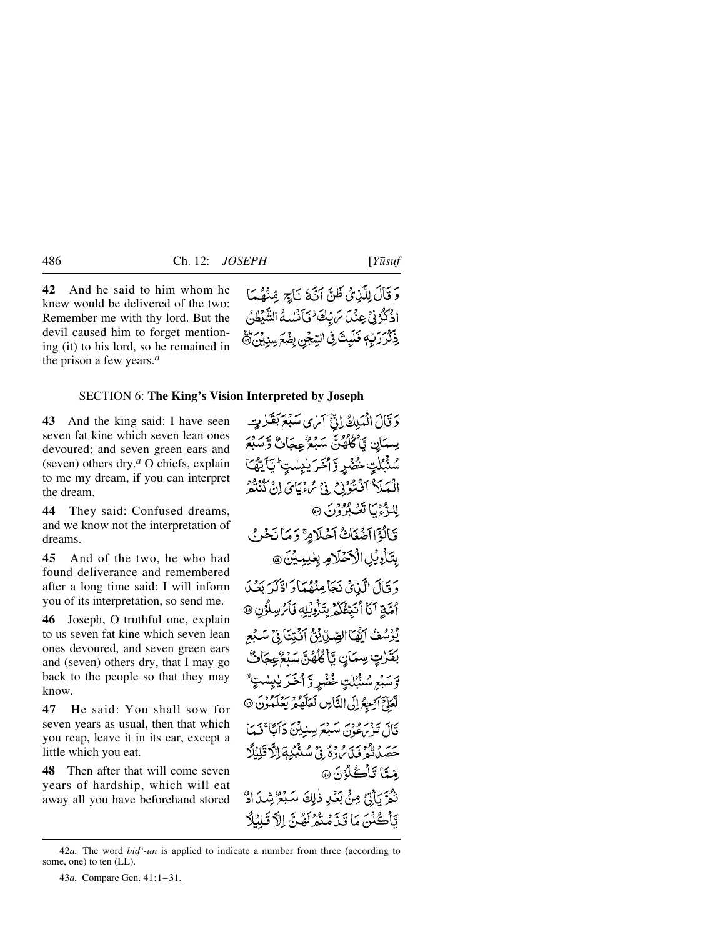**42** And he said to him whom he knew would be delivered of the two: Remember me with thy lord. But the devil caused him to forget mentioning (it) to his lord, so he remained in the prison a few years.*<sup>a</sup>*

## SECTION 6: **The King's Vision Interpreted by Joseph**

**43** And the king said: I have seen seven fat kine which seven lean ones devoured; and seven green ears and (seven) others dry.*<sup>a</sup>* O chiefs, explain to me my dream, if you can interpret the dream.

**44** They said: Confused dreams, and we know not the interpretation of dreams.

**45** And of the two, he who had found deliverance and remembered after a long time said: I will inform you of its interpretation, so send me.

**46** Joseph, O truthful one, explain to us seven fat kine which seven lean ones devoured, and seven green ears and (seven) others dry, that I may go back to the people so that they may know.

**47** He said: You shall sow for seven years as usual, then that which you reap, leave it in its ear, except a little which you eat.

**48** Then after that will come seven years of hardship, which will eat away all you have beforehand stored

وَ قَالَ لِلَّذِي ظَنَّ أَنَّهُ نَاجٍ مِّنْهُمَا اذْكُرُنِيْ عِنْدَ سَ بِّكَ فَيَأْتُسْمُ الشَّيْطُنُ ذِكْرَرَتِهٖ فَلَيِثَ فِى السِّجْنِ بِضْعَ سِنِيْنَ ﴾

وَقَالَ الْمَلِكُ إِنِّيَ آمَٰنِ صَبْعَ بَقَرْتٍ

سِمَانِ تَأَكُلُهُنَّ سَبْعٌ عِجَانٌ وَسَبْعَ *ۺؙؿ۫ڵؾٟڂ۠ۻٞڕٟ*ۅٞٳڂؘۯێڛؚ*ڶؾٟ*ٴؾٲؾۿ؆ الْمَلَا ٱفْتُوَيْنِ فِيْ مُءْيَايَ إِنْ كُنْتُوْ للهُ ثَمَرُ لَقَبِيْرُونَ ۞ قَالُؤَاآَضَغَاتُّ أَخْلَامِرَّ وَمَا نَحْنُ بِتَأْدِيُلِ الْأَخْلَامِ بِعْلِمِيْنَ @ دَ قَالَ الَّذِي نَجَاعِنْهُمَا دَادَّكَهُ بَعْبُ أَمَّةِ آَنَا أُنَبِّئُكُمُ بِتَأْوِيُلِهِ فَأَمُ سِلُوُنِ ۞ يُؤْسُفُ آَيُّهَا الصِّدِّيُّ إِنَّ آَفَتِنَا فِي سَبْعِ بَقَرْتٍ سِمَانٍ يَأْكُلُهُنَّ سَبْعٌ عِجَاتٌ وَسَبْعِ سُنْبُلْتٍ خُضْرِ وَ ٱخَرَ يٰبِسٰتٍ ۗ لَّعَلِّيَ آَرْجِعُ إِلَى النَّاسِ لَعَلَّهُمْ يَعْلَمُوْنَ @

قَالَ تَذْرِعُونَ سَبْعَ سِنِينَ دَائِبَا ۚ فَيَمَا ىر رەدىبە روز.<br>خصدىقىرفىيى روزنى شىنېڭىدالاقلىنىڭ مِّيَّا تَأْكُّكُوْنَ ۞

نَّفُمَّ يَأْتِيْ مِنْ بَعْدِ ذٰلِكَ سَبْعُ شِيدًا؟ تَأْكُلُنَ مَا تَدَّمْتُمُّ لَهُنَّ الرَّ قَلِبُلَا

<sup>42</sup>*a*. The word *bid'-un* is applied to indicate a number from three (according to some, one) to ten (LL).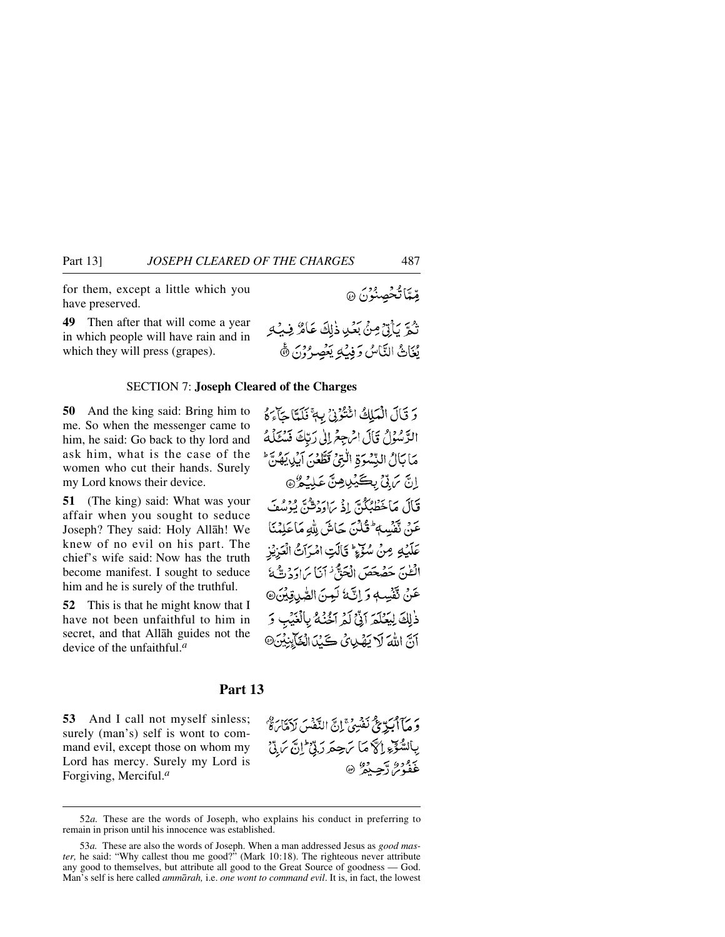for them, except a little which you have preserved.

**49** Then after that will come a year in which people will have rain and in which they will press (grapes).

#### SECTION 7: **Joseph Cleared of the Charges**

**50** And the king said: Bring him to me. So when the messenger came to him, he said: Go back to thy lord and ask him, what is the case of the women who cut their hands. Surely my Lord knows their device.

**51** (The king) said: What was your affair when you sought to seduce Joseph? They said: Holy Allåh! We knew of no evil on his part. The chief's wife said: Now has the truth become manifest. I sought to seduce him and he is surely of the truthful.

**52** This is that he might know that I have not been unfaithful to him in secret, and that Allåh guides not the device of the unfaithful.*<sup>a</sup>*

وَ قَالَ الْمَلِكُ ائْتُوُنْ بِ أَنَّلَا حَآءَهُ الرَّسُوُلُ قَالَ الْرَجِعُ إِلَىٰ رَبَّكَ فَسُكَلَّهُ مَا بَالُ النِّسْوَةِ الْتِيْ قَطَّعْنَ آيْدِيَهُنَّ ۖ اِنَّ بَ<sub>ا</sub>تِّيْ بِكَيْلِيْشَ عَلِيْهِنَّ وَ قَالَ مَاخَطْئِكُنَّ إِذْ بِرَارَتِيقَ يُؤْسُفَ عَنْ تَقْسِبُهُ ثَلْنَ جَاشَ مِلْهِ مَاعَلِيْنَا عَلَيْهِ مِنْ سُوَّءٍ ۚ قَالَتِ امْرَاتُ الْعَزِيْزِ الظنّ حَصْحَصَ الْحَقُّ ٰ أَنَا مَااوَدْتَّةُ عَنْ تَفْسِهِ وَ إِنَّهُ لَعِنَ الصَّدِقِيْنَ@ ذٰلِكَ لِيَعْلَمَ آتَىٰٓ لَمُ آخُنُهُ بِالْغَيْبِ وَ

آنَّ اللَّهَ لَا يَهْدِئُ كَنْدَ الْعَايِّنِيْنَ@

## **Part 13**

**53** And I call not myself sinless; surely (man's) self is wont to command evil, except those on whom my Lord has mercy. Surely my Lord is Forgiving, Merciful.*<sup>a</sup>*

وَ مَبَآاَكِيرٌ مِمَّ نَفْسِيۡ ۚ إِنَّ النَّفْسَ لَاَمَّا َءُ ۚ إِ بِاَلسُّوِّءِ إِلَّا مَا يَحِمَرُ رَبِّيْ إِنَّ يَ لِّ عَفْدُمْ دَّعْتُ ۞

تْمَرَّ يَأْتِيُّ مِنْ بَعْدِ ذٰلِكَ عَامٌ فِيهِ مِ

يُغَاثُ النَّاسُ وَفِيكِ يَعْصِرُوْنَ ﴾

مِّيَّاتُخْصِنُوْنَ @

<sup>52</sup>*a.* These are the words of Joseph, who explains his conduct in preferring to remain in prison until his innocence was established.

<sup>53</sup>*a.* These are also the words of Joseph. When a man addressed Jesus as *good master,* he said: "Why callest thou me good?" (Mark 10:18). The righteous never attribute any good to themselves, but attribute all good to the Great Source of goodness — God. Man's self is here called *ammårah,* i.e. *one wont to command evil*. It is, in fact, the lowest